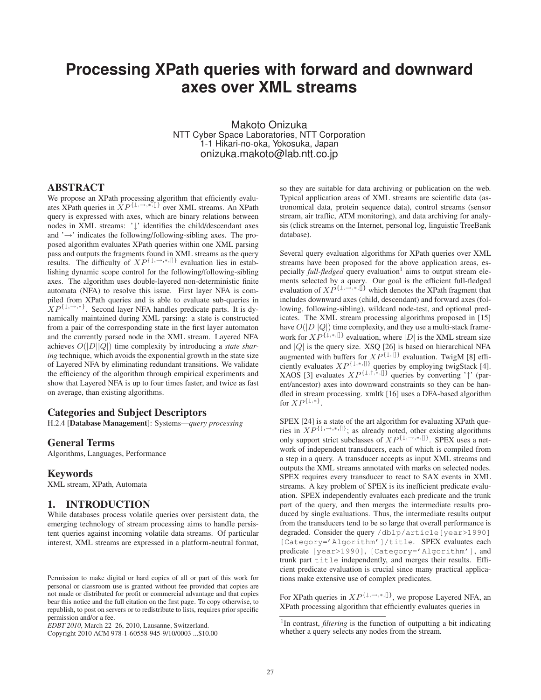# **Processing XPath queries with forward and downward axes over XML streams**

Makoto Onizuka NTT Cyber Space Laboratories, NTT Corporation 1-1 Hikari-no-oka, Yokosuka, Japan onizuka.makoto@lab.ntt.co.jp

#### ABSTRACT

We propose an XPath processing algorithm that efficiently evaluates XPath queries in XP{↓*,*→*,*∗*,*[]} over XML streams. An XPath query is expressed with axes, which are binary relations between nodes in XML streams: '↓' identifies the child/descendant axes and '→' indicates the following/following-sibling axes. The proposed algorithm evaluates XPath queries within one XML parsing pass and outputs the fragments found in XML streams as the query results. The difficulty of  $XP^{\{\downarrow, \rightarrow, *, \{\}}}$  evaluation lies in establishing dynamic scope control for the following/following-sibling axes. The algorithm uses double-layered non-deterministic finite automata (NFA) to resolve this issue. First layer NFA is compiled from XPath queries and is able to evaluate sub-queries in  $XP^{\{1,\rightarrow,\ast\}}$ . Second layer NFA handles predicate parts. It is dynamically maintained during XML parsing: a state is constructed from a pair of the corresponding state in the first layer automaton and the currently parsed node in the XML stream. Layered NFA achieves O(|D||Q|) time complexity by introducing a *state sharing* technique, which avoids the exponential growth in the state size of Layered NFA by eliminating redundant transitions. We validate the efficiency of the algorithm through empirical experiments and show that Layered NFA is up to four times faster, and twice as fast on average, than existing algorithms.

### Categories and Subject Descriptors

H.2.4 [Database Management]: Systems—*query processing*

#### General Terms

Algorithms, Languages, Performance

#### Keywords

XML stream, XPath, Automata

## 1. INTRODUCTION

While databases process volatile queries over persistent data, the emerging technology of stream processing aims to handle persistent queries against incoming volatile data streams. Of particular interest, XML streams are expressed in a platform-neutral format,

Copyright 2010 ACM 978-1-60558-945-9/10/0003 ...\$10.00

so they are suitable for data archiving or publication on the web. Typical application areas of XML streams are scientific data (astronomical data, protein sequence data), control streams (sensor stream, air traffic, ATM monitoring), and data archiving for analysis (click streams on the Internet, personal log, linguistic TreeBank database).

Several query evaluation algorithms for XPath queries over XML streams have been proposed for the above application areas, especially *full-fledged* query evaluation<sup>1</sup> aims to output stream elements selected by a query. Our goal is the efficient full-fledged evaluation of  $XP^{\{1, \rightarrow, *, \mathbb{N}\}}$  which denotes the XPath fragment that includes downward axes (child, descendant) and forward axes (following, following-sibling), wildcard node-test, and optional predicates. The XML stream processing algorithms proposed in [15] have  $O(|D||Q|)$  time complexity, and they use a multi-stack framework for  $XP^{\{1,*,\{\}}\}$  evaluation, where  $|D|$  is the XML stream size and  $|Q|$  is the query size. XSQ [26] is based on hierarchical NFA augmented with buffers for  $XP^{\{1, 1\}}$  evaluation. TwigM [8] efficiently evaluates  $XP^{\{1,*,\{\}}\}$  queries by employing twigStack [4]. XAOS [3] evaluates  $XP^{\{\downarrow,\uparrow,\ast,\parallel\}}$  queries by converting ' $\uparrow$ ' (parent/ancestor) axes into downward constraints so they can be handled in stream processing. xmltk [16] uses a DFA-based algorithm for  $XP^{\{\downarrow,\ast\}}$ .

SPEX [24] is a state of the art algorithm for evaluating XPath queries in  $XP^{\{\downarrow, \rightarrow, *, \{\}}\}$ ; as already noted, other existing algorithms only support strict subclasses of  $XP^{\{1, \rightarrow, *, \{]\}}}.$  SPEX uses a network of independent transducers, each of which is compiled from a step in a query. A transducer accepts as input XML streams and outputs the XML streams annotated with marks on selected nodes. SPEX requires every transducer to react to SAX events in XML streams. A key problem of SPEX is its inefficient predicate evaluation. SPEX independently evaluates each predicate and the trunk part of the query, and then merges the intermediate results produced by single evaluations. Thus, the intermediate results output from the transducers tend to be so large that overall performance is degraded. Consider the query /dblp/article[year>1990] [Category='Algorithm']/title. SPEX evaluates each predicate [year>1990], [Category='Algorithm'], and trunk part title independently, and merges their results. Efficient predicate evaluation is crucial since many practical applications make extensive use of complex predicates.

For XPath queries in  $XP^{\{1,\rightarrow,\ast,\{\}}\}$ , we propose Layered NFA, an XPath processing algorithm that efficiently evaluates queries in

Permission to make digital or hard copies of all or part of this work for personal or classroom use is granted without fee provided that copies are not made or distributed for profit or commercial advantage and that copies bear this notice and the full citation on the first page. To copy otherwise, to republish, to post on servers or to redistribute to lists, requires prior specific permission and/or a fee.

*EDBT 2010*, March 22–26, 2010, Lausanne, Switzerland.

<sup>&</sup>lt;sup>1</sup>In contrast, *filtering* is the function of outputting a bit indicating whether a query selects any nodes from the stream.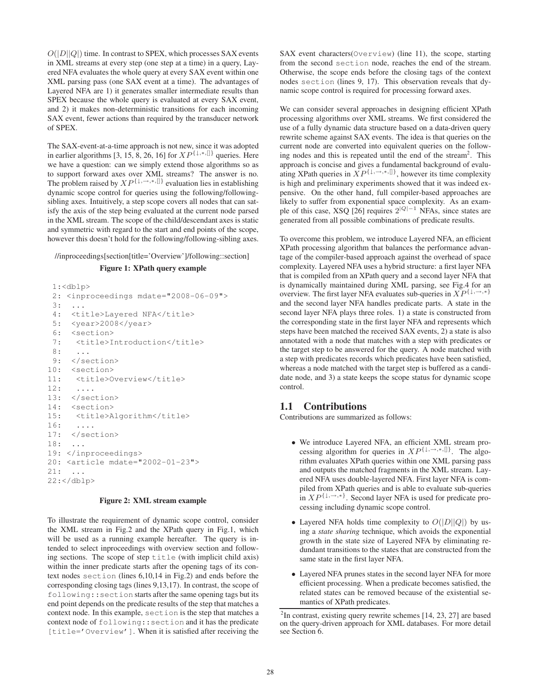$O(|D||Q|)$  time. In contrast to SPEX, which processes SAX events in XML streams at every step (one step at a time) in a query, Layered NFA evaluates the whole query at every SAX event within one XML parsing pass (one SAX event at a time). The advantages of Layered NFA are 1) it generates smaller intermediate results than SPEX because the whole query is evaluated at every SAX event, and 2) it makes non-deterministic transitions for each incoming SAX event, fewer actions than required by the transducer network of SPEX.

The SAX-event-at-a-time approach is not new, since it was adopted in earlier algorithms [3, 15, 8, 26, 16] for  $XP^{\{\downarrow,\ast,\{\rfloor\}}}$  queries. Here we have a question: can we simply extend those algorithms so as to support forward axes over XML streams? The answer is no. The problem raised by  $XP^{\{1,\rightarrow,\ast,\{\}}\}$  evaluation lies in establishing dynamic scope control for queries using the following/followingsibling axes. Intuitively, a step scope covers all nodes that can satisfy the axis of the step being evaluated at the current node parsed in the XML stream. The scope of the child/descendant axes is static and symmetric with regard to the start and end points of the scope, however this doesn't hold for the following/following-sibling axes.

//inproceedings[section[title='Overview']/following::section]

#### Figure 1: XPath query example

```
1:<dblp>
 2: <inproceedings mdate="2008-06-09">
 3: ...
 4: <title>Layered NFA</title>
 5: <year>2008</year>
 6: <section>
 7: <title>Introduction</title>
 8: ...
9: </section>
10: <section>
11: <title>Overview</title>
12: ....
13: </section>
14: <section>
15: <title>Algorithm</title>
16: ....
17: </section>
18: ...
19: </inproceedings>
20: <article mdate="2002-01-23">
21: ...
22:</dblp>
```
#### Figure 2: XML stream example

To illustrate the requirement of dynamic scope control, consider the XML stream in Fig.2 and the XPath query in Fig.1, which will be used as a running example hereafter. The query is intended to select inproceedings with overview section and following sections. The scope of step title (with implicit child axis) within the inner predicate starts after the opening tags of its context nodes section (lines 6,10,14 in Fig.2) and ends before the corresponding closing tags (lines 9,13,17). In contrast, the scope of following::section starts after the same opening tags but its end point depends on the predicate results of the step that matches a context node. In this example, section is the step that matches a context node of following::section and it has the predicate [title='Overview']. When it is satisfied after receiving the SAX event characters(Overview) (line 11), the scope, starting from the second section node, reaches the end of the stream. Otherwise, the scope ends before the closing tags of the context nodes section (lines 9, 17). This observation reveals that dynamic scope control is required for processing forward axes.

We can consider several approaches in designing efficient XPath processing algorithms over XML streams. We first considered the use of a fully dynamic data structure based on a data-driven query rewrite scheme against SAX events. The idea is that queries on the current node are converted into equivalent queries on the following nodes and this is repeated until the end of the stream<sup>2</sup>. This approach is concise and gives a fundamental background of evaluating XPath queries in  $\overline{XP^{\{1,\rightarrow,\ast,\parallel\}}}$ , however its time complexity is high and preliminary experiments showed that it was indeed expensive. On the other hand, full compiler-based approaches are likely to suffer from exponential space complexity. As an example of this case, XSQ [26] requires 2<sup>|</sup>*Q*|−<sup>1</sup> NFAs, since states are generated from all possible combinations of predicate results.

To overcome this problem, we introduce Layered NFA, an efficient XPath processing algorithm that balances the performance advantage of the compiler-based approach against the overhead of space complexity. Layered NFA uses a hybrid structure: a first layer NFA that is compiled from an XPath query and a second layer NFA that is dynamically maintained during XML parsing, see Fig.4 for an overview. The first layer NFA evaluates sub-queries in  $XP^{\{\downarrow, \rightarrow, *\}}$ and the second layer NFA handles predicate parts. A state in the second layer NFA plays three roles. 1) a state is constructed from the corresponding state in the first layer NFA and represents which steps have been matched the received SAX events, 2) a state is also annotated with a node that matches with a step with predicates or the target step to be answered for the query. A node matched with a step with predicates records which predicates have been satisfied, whereas a node matched with the target step is buffered as a candidate node, and 3) a state keeps the scope status for dynamic scope control.

# 1.1 Contributions

Contributions are summarized as follows:

- We introduce Layered NFA, an efficient XML stream processing algorithm for queries in  $XP^{\{1, \rightarrow, *, \{\}}\}$ . The algorithm evaluates XPath queries within one XML parsing pass and outputs the matched fragments in the XML stream. Layered NFA uses double-layered NFA. First layer NFA is compiled from XPath queries and is able to evaluate sub-queries in  $XP^{\{\downarrow, \rightarrow, *\}}$ . Second layer NFA is used for predicate processing including dynamic scope control.
- Layered NFA holds time complexity to  $O(|D||Q|)$  by using a *state sharing* technique, which avoids the exponential growth in the state size of Layered NFA by eliminating redundant transitions to the states that are constructed from the same state in the first layer NFA.
- Layered NFA prunes states in the second layer NFA for more efficient processing. When a predicate becomes satisfied, the related states can be removed because of the existential semantics of XPath predicates.

 $2$ In contrast, existing query rewrite schemes [14, 23, 27] are based on the query-driven approach for XML databases. For more detail see Section 6.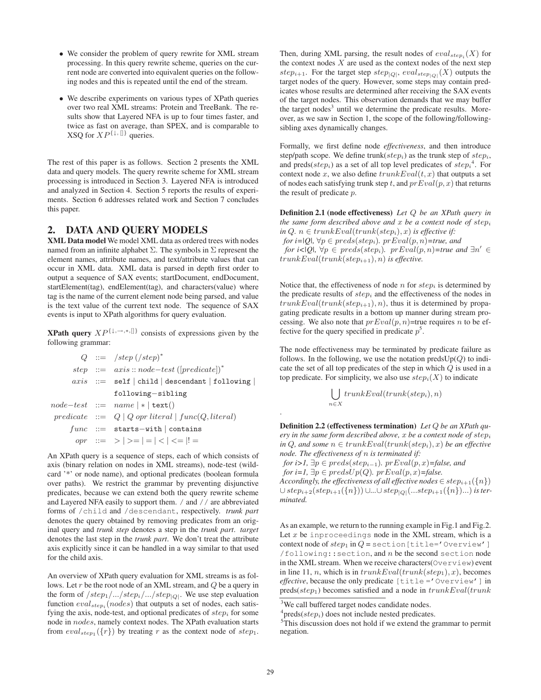- We consider the problem of query rewrite for XML stream processing. In this query rewrite scheme, queries on the current node are converted into equivalent queries on the following nodes and this is repeated until the end of the stream.
- We describe experiments on various types of XPath queries over two real XML streams: Protein and TreeBank. The results show that Layered NFA is up to four times faster, and twice as fast on average, than SPEX, and is comparable to XSQ for  $XP^{\{\downarrow,\{\!\!\!\ p \ \!\!\!\}}$  queries.

The rest of this paper is as follows. Section 2 presents the XML data and query models. The query rewrite scheme for XML stream processing is introduced in Section 3. Layered NFA is introduced and analyzed in Section 4. Section 5 reports the results of experiments. Section 6 addresses related work and Section 7 concludes this paper.

# 2. DATA AND QUERY MODELS

XML Data model We model XML data as ordered trees with nodes named from an infinite alphabet  $\Sigma$ . The symbols in  $\Sigma$  represent the element names, attribute names, and text/attribute values that can occur in XML data. XML data is parsed in depth first order to output a sequence of SAX events; startDocument, endDocument, startElement(tag), endElement(tag), and characters(value) where tag is the name of the current element node being parsed, and value is the text value of the current text node. The sequence of SAX events is input to XPath algorithms for query evaluation.

**XPath query**  $XP^{\{1,\rightarrow,\ast,\mathbb{N}\}}$  consists of expressions given by the following grammar:

|  | $Q ::= /step / (step)^*$                                     |
|--|--------------------------------------------------------------|
|  | step ::= $axis::node-test ([predicate])^*$                   |
|  | $axis ::= self   child   descendant   following  $           |
|  | following-sibling                                            |
|  | $node-test ::= name   *   text()$                            |
|  | $predicate ::= Q   Q \text{ opr literal}   func(Q, literal)$ |
|  | $func ::= starts-with  contains$                             |
|  | opr ::= >   > =   =   <   <=  ! =                            |

An XPath query is a sequence of steps, each of which consists of axis (binary relation on nodes in XML streams), node-test (wildcard '\*' or node name), and optional predicates (boolean formula over paths). We restrict the grammar by preventing disjunctive predicates, because we can extend both the query rewrite scheme and Layered NFA easily to support them. / and // are abbreviated forms of /child and /descendant, respectively. *trunk part* denotes the query obtained by removing predicates from an original query and *trunk step* denotes a step in the *trunk part*. *target* denotes the last step in the *trunk part*. We don't treat the attribute axis explicitly since it can be handled in a way similar to that used for the child axis.

An overview of XPath query evaluation for XML streams is as follows. Let  $r$  be the root node of an XML stream, and  $Q$  be a query in the form of  $/step_1/.../step_i/.../step_{|Q|}$ . We use step evaluation function  $eval_{step}$ <sup>*(nodes)* that outputs a set of nodes, each satis-</sup> fying the axis, node-test, and optional predicates of step*<sup>i</sup>* for some node in nodes, namely context nodes. The XPath evaluation starts from  $eval_{step_1}(\lbrace r \rbrace)$  by treating r as the context node of  $step_1$ . Then, during XML parsing, the result nodes of  $eval_{step_i}(X)$  for the context nodes  $X$  are used as the context nodes of the next step step<sub>i+1</sub>. For the target step step<sub>|*Q*|</sub>, eval<sub>step|*Q*|</sub>(*X*) outputs the target nodes of the query. However, some steps may contain predicates whose results are determined after receiving the SAX events of the target nodes. This observation demands that we may buffer the target nodes<sup>3</sup> until we determine the predicate results. Moreover, as we saw in Section 1, the scope of the following/followingsibling axes dynamically changes.

Formally, we first define node *effectiveness*, and then introduce step/path scope. We define trunk(step*i*) as the trunk step of step*i*, and preds( $step<sub>i</sub>$ ) as a set of all top level predicates of  $step<sub>i</sub><sup>4</sup>$ . For context node x, we also define  $trunkEval(t, x)$  that outputs a set of nodes each satisfying trunk step t, and  $prEval(p, x)$  that returns the result of predicate p.

Definition 2.1 (node effectiveness) *Let* Q *be an XPath query in the same form described above and* x *be a context node of* step*<sup>i</sup> in*  $Q, n \in trunkEval(true(stop_i), x)$  *is effective if: for i*= $|Q|$ ,  $\forall p \in \text{preds}(step_i)$ *.*  $prEval(p, n)$ =*true, and for i*< $|Q|$ ,  $\forall p \in \text{preds}(step_i)$ *.*  $prEval(p, n)$ =true and  $\exists n' \in$ trunkEval(trunk(step*i*+1), n) *is effective.*

Notice that, the effectiveness of node  $n$  for  $step<sub>i</sub>$  is determined by the predicate results of step*<sup>i</sup>* and the effectiveness of the nodes in  $trunkEval(trunk(step<sub>i+1</sub>), n)$ , thus it is determined by propagating predicate results in a bottom up manner during stream processing. We also note that  $prEval(p, n)$ =true requires n to be effective for the query specified in predicate  $p^5$ .

The node effectiveness may be terminated by predicate failure as follows. In the following, we use the notation preds $Up(Q)$  to indicate the set of all top predicates of the step in which Q is used in a top predicate. For simplicity, we also use  $step<sub>i</sub>(X)$  to indicate

$$
\bigcup_{n \in X} trunkEval(trunk(step_i), n)
$$

Definition 2.2 (effectiveness termination) *Let* Q *be an XPath query in the same form described above,* x *be a context node of* step*<sup>i</sup> in*  $Q$ *, and some*  $n \in trunkEval(true(k_1), x)$  *be an effective node. The effectiveness of* n *is terminated if:*

*for i>1*,  $\exists p \in \text{preds}(step_{i-1})$ *.*  $prEval(p, x)$ =*false, and for i=1,*  $\exists p \in \text{predsUp}(Q)$ *.*  $\text{prEval}(p, x)$ =*false. Accordingly, the effectiveness of all effective nodes*  $\in$   $step_{i+1}(\{n\})$ 

∪ step*i*+2(step*i*+1({n})) ∪*...*∪step|*Q*|(...step*i*+1({n})...) *is terminated.*

As an example, we return to the running example in Fig.1 and Fig.2. Let  $x$  be inproceedings node in the XML stream, which is a context node of  $step_1$  in  $Q =$  section [title='Overview']  $/$ following:: section, and  $n$  be the second section node in the XML stream. When we receive characters(Overview) event in line 11, *n*, which is in  $trunkEval(trunk(step<sub>1</sub>), x)$ , becomes *effective*, because the only predicate [title ='Overview'] in preds(step<sub>1</sub>) becomes satisfied and a node in  $trunkEval(trunk$ 

.

<sup>&</sup>lt;sup>3</sup>We call buffered target nodes candidate nodes.

 $^{4}$ preds(*step<sub>i</sub>*) does not include nested predicates.

 $5$ This discussion does not hold if we extend the grammar to permit negation.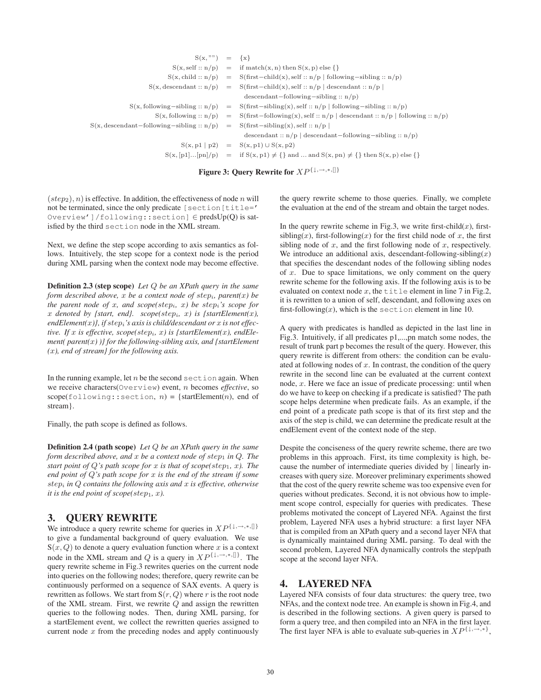| $S(x, "") = \{x\}$                                                             |                                                                                                                                       |
|--------------------------------------------------------------------------------|---------------------------------------------------------------------------------------------------------------------------------------|
|                                                                                | $S(x, self :: n/p) = if match(x, n) then S(x, p) else \{\}$                                                                           |
|                                                                                | $S(x, child :: n/p) = S(first - child(x), self :: n/p   following - sibling :: n/p)$                                                  |
|                                                                                | $S(x, descendant:: n/p) = S(first - child(x), self:: n/p   descendant:: n/p)$                                                         |
|                                                                                | $descendant-following-sibling :: n/p)$                                                                                                |
|                                                                                | $S(x, following-sibling :: n/p) = S(first-sibling(x), self :: n/p   following-sibling :: n/p)$                                        |
|                                                                                | $S(x, following:: n/p) = S(first-following(x), self:: n/p   descendant:: n/p   following:: n/p)$                                      |
| $S(x, descendant-following-sibling :: n/p) = S(first-sibling(x), self :: n/p)$ |                                                                                                                                       |
|                                                                                | descendant :: $n/p$   descendant-following-sibling :: $n/p$ )                                                                         |
|                                                                                | $S(x, p1   p2) = S(x, p1) \cup S(x, p2)$                                                                                              |
|                                                                                | $S(x, [p1][pn]/p) = \text{if } S(x, p1) \neq \{\}\text{ and } \text{ and } S(x, pn) \neq \{\}\text{ then } S(x, p) \text{ else }\{\}$ |
|                                                                                |                                                                                                                                       |

Figure 3: Query Rewrite for XP{↓*,*→*,*∗*,*[]}

 $(s_{t}^{(step_{2}), n)$  is effective. In addition, the effectiveness of node n will not be terminated, since the only predicate [section[title=' Overview']/following::section] ∈ predsUp(Q) is satisfied by the third section node in the XML stream.

Next, we define the step scope according to axis semantics as follows. Intuitively, the step scope for a context node is the period during XML parsing when the context node may become effective.

Definition 2.3 (step scope) *Let* Q *be an XPath query in the same form described above,* x *be a context node of* step*i, parent(*x*) be the parent node of* x*, and scope(*step*i,* x*) be* step*i's scope for* x denoted by {start, end}. scope(step<sub>i</sub>, x) is {startElement(x), *endElement(*x*)}, if* step*i's axis is child/descendant or* x *is not effective.* If x is effective, scope(step<sub>i</sub>, x) is {startElement(x), endEle*ment( parent(*x*) )} for the following-sibling axis, and {startElement (*x*), end of stream} for the following axis.*

In the running example, let  $n$  be the second section again. When we receive characters(Overview) event, n becomes *effective*, so  $scope(following::section, n) = {startElement(n), end of}$ stream}.

Finally, the path scope is defined as follows.

Definition 2.4 (path scope) *Let* Q *be an XPath query in the same form described above, and x be a context node of step<sub>1</sub> in Q. The start point of*  $Q$ 's path scope for  $x$  *is that of scope(step<sub>1</sub>,*  $x$ *). The end point of* Q*'s path scope for* x *is the end of the stream if some* step*<sup>i</sup> in* Q *contains the following axis and* x *is effective, otherwise it is the end point of scope(step<sub>1</sub>, x</sub>).* 

# 3. QUERY REWRITE

We introduce a query rewrite scheme for queries in  $XP^{\{\downarrow, \rightarrow, *, \[\}}$ to give a fundamental background of query evaluation. We use  $S(x, Q)$  to denote a query evaluation function where x is a context node in the XML stream and Q is a query in  $XP^{\{1, \rightarrow, *, \{]\}}}.$  The query rewrite scheme in Fig.3 rewrites queries on the current node into queries on the following nodes; therefore, query rewrite can be continuously performed on a sequence of SAX events. A query is rewritten as follows. We start from  $S(r, Q)$  where r is the root node of the XML stream. First, we rewrite  $Q$  and assign the rewritten queries to the following nodes. Then, during XML parsing, for a startElement event, we collect the rewritten queries assigned to current node  $x$  from the preceding nodes and apply continuously the query rewrite scheme to those queries. Finally, we complete the evaluation at the end of the stream and obtain the target nodes.

In the query rewrite scheme in Fig.3, we write first-child $(x)$ , firstsibling(x), first-following(x) for the first child node of x, the first sibling node of  $x$ , and the first following node of  $x$ , respectively. We introduce an additional axis, descendant-following-sibling(x) that specifies the descendant nodes of the following sibling nodes of  $x$ . Due to space limitations, we only comment on the query rewrite scheme for the following axis. If the following axis is to be evaluated on context node  $x$ , the title element in line 7 in Fig.2, it is rewritten to a union of self, descendant, and following axes on first-following $(x)$ , which is the section element in line 10.

A query with predicates is handled as depicted in the last line in Fig.3. Intuitively, if all predicates p1,...,pn match some nodes, the result of trunk part p becomes the result of the query. However, this query rewrite is different from others: the condition can be evaluated at following nodes of  $x$ . In contrast, the condition of the query rewrite in the second line can be evaluated at the current context node, x. Here we face an issue of predicate processing: until when do we have to keep on checking if a predicate is satisfied? The path scope helps determine when predicate fails. As an example, if the end point of a predicate path scope is that of its first step and the axis of the step is child, we can determine the predicate result at the endElement event of the context node of the step.

Despite the conciseness of the query rewrite scheme, there are two problems in this approach. First, its time complexity is high, because the number of intermediate queries divided by | linearly increases with query size. Moreover preliminary experiments showed that the cost of the query rewrite scheme was too expensive even for queries without predicates. Second, it is not obvious how to implement scope control, especially for queries with predicates. These problems motivated the concept of Layered NFA. Against the first problem, Layered NFA uses a hybrid structure: a first layer NFA that is compiled from an XPath query and a second layer NFA that is dynamically maintained during XML parsing. To deal with the second problem, Layered NFA dynamically controls the step/path scope at the second layer NFA.

# 4. LAYERED NFA

Layered NFA consists of four data structures: the query tree, two NFAs, and the context node tree. An example is shown in Fig.4, and is described in the following sections. A given query is parsed to form a query tree, and then compiled into an NFA in the first layer. The first layer NFA is able to evaluate sub-queries in  $XP^{\{1, \rightarrow, * \}}$ ,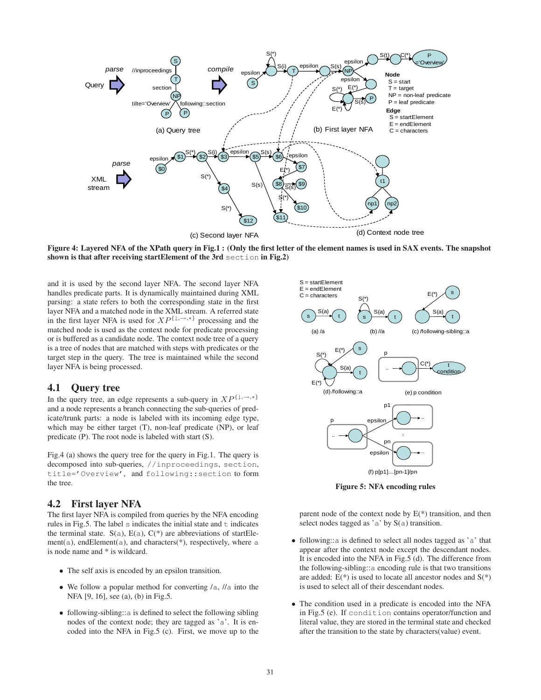

Figure 4: Layered NFA of the XPath query in Fig.1 : (Only the first letter of the element names is used in SAX events. The snapshot shown is that after receiving startElement of the 3rd section in Fig.2)

and it is used by the second layer NFA. The second layer NFA handles predicate parts. It is dynamically maintained during XML parsing: a state refers to both the corresponding state in the first layer NFA and a matched node in the XML stream. A referred state in the first layer NFA is used for  $XP^{\{\downarrow, \rightarrow, *\}}$  processing and the matched node is used as the context node for predicate processing or is buffered as a candidate node. The context node tree of a query is a tree of nodes that are matched with steps with predicates or the target step in the query. The tree is maintained while the second layer NFA is being processed.

# 4.1 Query tree

In the query tree, an edge represents a sub-query in  $XP^{\{\downarrow,\rightarrow,\ast\}}$ and a node represents a branch connecting the sub-queries of predicate/trunk parts: a node is labeled with its incoming edge type, which may be either target (T), non-leaf predicate (NP), or leaf predicate (P). The root node is labeled with start (S).

Fig.4 (a) shows the query tree for the query in Fig.1. The query is decomposed into sub-queries, //inproceedings, section, title='Overview', and following::section to form the tree.

### 4.2 First layer NFA

The first layer NFA is compiled from queries by the NFA encoding rules in Fig.5. The label  $s$  indicates the initial state and  $t$  indicates the terminal state.  $S(a)$ ,  $E(a)$ ,  $C(*)$  are abbreviations of startElement(a), endElement(a), and characters(\*), respectively, where a is node name and \* is wildcard.

- The self axis is encoded by an epsilon transition.
- We follow a popular method for converting /a, //a into the NFA [9, 16], see (a), (b) in Fig.5.
- following-sibling::a is defined to select the following sibling nodes of the context node; they are tagged as 'a'. It is encoded into the NFA in Fig.5 (c). First, we move up to the



Figure 5: NFA encoding rules

parent node of the context node by  $E(*)$  transition, and then select nodes tagged as 'a' by S(a) transition.

- following::a is defined to select all nodes tagged as 'a' that appear after the context node except the descendant nodes. It is encoded into the NFA in Fig.5 (d). The difference from the following-sibling::a encoding rule is that two transitions are added:  $E(*)$  is used to locate all ancestor nodes and  $S(*)$ is used to select all of their descendant nodes.
- The condition used in a predicate is encoded into the NFA in Fig.5 (e). If condition contains operator/function and literal value, they are stored in the terminal state and checked after the transition to the state by characters(value) event.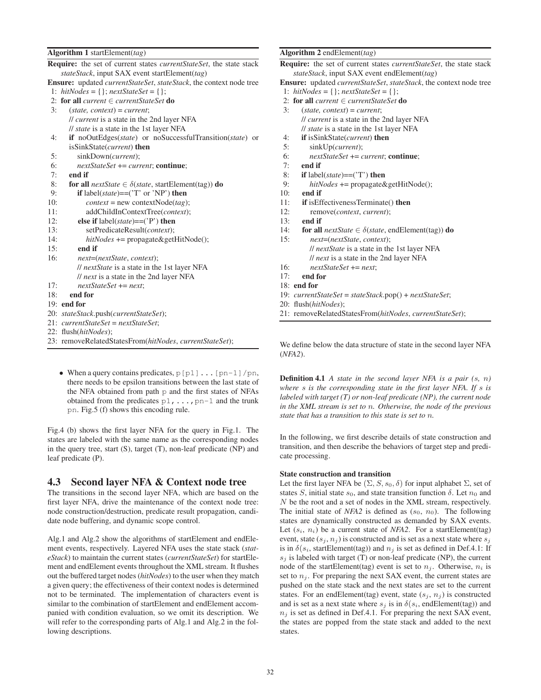#### Algorithm 1 startElement(*tag*)

|     | <b>Require:</b> the set of current states <i>currentStateSet</i> , the state stack |
|-----|------------------------------------------------------------------------------------|
|     | stateStack, input SAX event startElement(tag)                                      |
|     | <b>Ensure:</b> updated <i>currentStateSet, stateStack</i> , the context node tree  |
|     | 1: hitNodes = { }; nextStateSet = { };                                             |
|     | 2: for all current $\in$ current State Set do                                      |
| 3:  | $(state, context) = current;$                                                      |
|     | <i>ll current</i> is a state in the 2nd layer NFA                                  |
|     | <i>ll state</i> is a state in the 1st layer NFA                                    |
| 4:  | <b>if</b> noOutEdges( <i>state</i> ) or noSuccessfulTransition( <i>state</i> ) or  |
|     | isSinkState( <i>current</i> ) then                                                 |
| 5:  | sinkDown( <i>current</i> );                                                        |
| 6:  | $nextStateSet += current;$ continue;                                               |
| 7:  | end if                                                                             |
| 8:  | <b>for all</b> nextState $\in \delta$ (state, startElement(tag)) <b>do</b>         |
| 9:  | <b>if</b> label( <i>state</i> )==( $T'$ or $'NP'$ ) <b>then</b>                    |
| 10: | $context = new contextNodetag);$                                                   |
| 11: | addChildInContextTree(context);                                                    |
| 12: | else if $label(state)==('P')$ then                                                 |
| 13: | setPredicateResult( <i>context</i> );                                              |
| 14: | $hitNodes += propagate \& getHitNode();$                                           |
| 15: | end if                                                                             |
| 16: | next=(nextState, context);                                                         |
|     | <i>ll nextState</i> is a state in the 1st layer NFA                                |
|     | <i>ll next</i> is a state in the 2nd layer NFA                                     |
| 17: | $nextStateSet += next;$                                                            |
| 18: | end for                                                                            |
|     | $19:$ end for                                                                      |
|     | 20: stateStack.push(currentStateSet);                                              |
|     | $21: currentStateSet = nextStateSet;$                                              |
|     | 22: flush(hitNodes);                                                               |
|     | 23: removeRelatedStatesFrom(hitNodes, currentStateSet);                            |

• When a query contains predicates,  $p[p1] \ldots [pn-1]/pn$ , there needs to be epsilon transitions between the last state of the NFA obtained from path p and the first states of NFAs obtained from the predicates  $p_1$ , ...,  $p_n-1$  and the trunk pn. Fig.5 (f) shows this encoding rule.

Fig.4 (b) shows the first layer NFA for the query in Fig.1. The states are labeled with the same name as the corresponding nodes in the query tree, start (S), target (T), non-leaf predicate (NP) and leaf predicate (P).

### 4.3 Second layer NFA & Context node tree

The transitions in the second layer NFA, which are based on the first layer NFA, drive the maintenance of the context node tree: node construction/destruction, predicate result propagation, candidate node buffering, and dynamic scope control.

Alg.1 and Alg.2 show the algorithms of startElement and endElement events, respectively. Layered NFA uses the state stack (*stateStack*) to maintain the current states (*currentStateSet*) for startElement and endElement events throughout the XML stream. It flushes out the buffered target nodes (*hitNodes*) to the user when they match a given query; the effectiveness of their context nodes is determined not to be terminated. The implementation of characters event is similar to the combination of startElement and endElement accompanied with condition evaluation, so we omit its description. We will refer to the corresponding parts of Alg.1 and Alg.2 in the following descriptions.

#### Algorithm 2 endElement(*tag*)

| <b>Algorithm</b> 2 endElement( <i>tag</i> )                                              |
|------------------------------------------------------------------------------------------|
| <b>Require:</b> the set of current states <i>currentStateSet</i> , the state stack       |
| <i>stateStack</i> , input SAX event endElement( <i>tag</i> )                             |
| <b>Ensure:</b> updated <i>currentStateSet, stateStack</i> , the context node tree        |
| 1: hitNodes = { $\;$ ; nextStateSet = { $\;$ ;                                           |
| 2: for all current $\in$ current State Set do                                            |
| 3:<br>$(state, context) = current;$                                                      |
| <i>ll current</i> is a state in the 2nd layer NFA                                        |
| <i>ll state</i> is a state in the 1st layer NFA                                          |
| 4:<br><b>if</b> is Sink State <i>(current</i> ) <b>then</b>                              |
| 5:<br>sinkUp(current);                                                                   |
| 6:<br>$nextStateSet += current$ ; continue;                                              |
| 7:<br>end if                                                                             |
| 8:<br><b>if</b> label( <i>state</i> )==( $T$ ) <b>then</b>                               |
| 9:<br>$hitNodes += propagate \& getHitNode();$                                           |
| 10:<br>end if                                                                            |
| <b>if</b> is Effectiveness Terminate() then<br>11:                                       |
| 12:<br>remove( <i>context</i> , <i>current</i> );                                        |
| end if<br>13:                                                                            |
| for all <i>nextState</i> $\in \delta$ ( <i>state</i> , endElement(tag)) <b>do</b><br>14: |
| 15:<br>next=(nextState, context);                                                        |
| <i>ll nextState</i> is a state in the 1st layer NFA                                      |
| // next is a state in the 2nd layer NFA                                                  |
| 16:<br>$nextStateSet += next$ ;                                                          |
| end for<br>17:                                                                           |
| $18:$ end for                                                                            |
| 19: $currentStateSet = stateStack.pop() + nextStateSet;$                                 |
| 20: flush( <i>hitNodes</i> );                                                            |
| $21.$ nomera Deleted States From (bit) $l_{\alpha\beta}$ as numeral State $\Gamma_{ab}$  |

21: removeRelatedStatesFrom(*hitNodes*, *currentStateSet*);

We define below the data structure of state in the second layer NFA (*NFA2*).

Definition 4.1 *A state in the second layer NFA is a pair (*s*,* n*) where* s *is the corresponding state in the first layer NFA. If* s *is labeled with target (T) or non-leaf predicate (NP), the current node in the XML stream is set to* n*. Otherwise, the node of the previous state that has a transition to this state is set to* n*.*

In the following, we first describe details of state construction and transition, and then describe the behaviors of target step and predicate processing.

#### State construction and transition

Let the first layer NFA be  $(\Sigma, S, s_0, \delta)$  for input alphabet  $\Sigma$ , set of states S, initial state  $s_0$ , and state transition function  $\delta$ . Let  $n_0$  and N be the root and a set of nodes in the XML stream, respectively. The initial state of *NFA2* is defined as  $(s_0, n_0)$ . The following states are dynamically constructed as demanded by SAX events. Let  $(s_i, n_i)$  be a current state of *NFA2*. For a startElement(tag) event, state  $(s_j, n_j)$  is constructed and is set as a next state where  $s_j$ is in  $\delta(s_i, \text{startElement}(\text{tag}))$  and  $n_i$  is set as defined in Def.4.1: If  $s_i$  is labeled with target (T) or non-leaf predicate (NP), the current node of the startElement(tag) event is set to  $n_i$ . Otherwise,  $n_i$  is set to  $n<sub>i</sub>$ . For preparing the next SAX event, the current states are pushed on the state stack and the next states are set to the current states. For an endElement(tag) event, state  $(s_i, n_j)$  is constructed and is set as a next state where  $s_i$  is in  $\delta(s_i)$ , endElement(tag)) and  $n_j$  is set as defined in Def.4.1. For preparing the next SAX event, the states are popped from the state stack and added to the next states.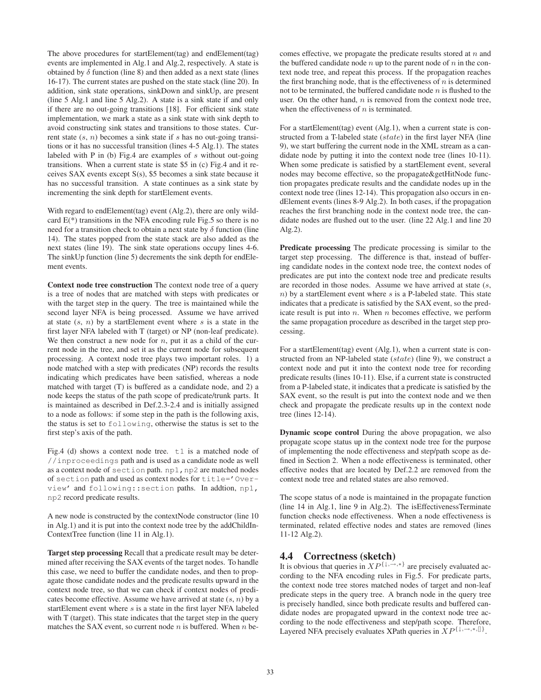The above procedures for startElement(tag) and endElement(tag) events are implemented in Alg.1 and Alg.2, respectively. A state is obtained by  $\delta$  function (line 8) and then added as a next state (lines 16-17). The current states are pushed on the state stack (line 20). In addition, sink state operations, sinkDown and sinkUp, are present (line 5 Alg.1 and line 5 Alg.2). A state is a sink state if and only if there are no out-going transitions [18]. For efficient sink state implementation, we mark a state as a sink state with sink depth to avoid constructing sink states and transitions to those states. Current state  $(s, n)$  becomes a sink state if s has no out-going transitions or it has no successful transition (lines 4-5 Alg.1). The states labeled with P in (b) Fig.4 are examples of  $s$  without out-going transitions. When a current state is state \$5 in (c) Fig.4 and it receives SAX events except S(s), \$5 becomes a sink state because it has no successful transition. A state continues as a sink state by incrementing the sink depth for startElement events.

With regard to endElement(tag) event (Alg.2), there are only wildcard  $E(*)$  transitions in the NFA encoding rule Fig.5 so there is no need for a transition check to obtain a next state by  $\delta$  function (line 14). The states popped from the state stack are also added as the next states (line 19). The sink state operations occupy lines 4-6. The sinkUp function (line 5) decrements the sink depth for endElement events.

Context node tree construction The context node tree of a query is a tree of nodes that are matched with steps with predicates or with the target step in the query. The tree is maintained while the second layer NFA is being processed. Assume we have arrived at state  $(s, n)$  by a startElement event where s is a state in the first layer NFA labeled with T (target) or NP (non-leaf predicate). We then construct a new node for  $n$ , put it as a child of the current node in the tree, and set it as the current node for subsequent processing. A context node tree plays two important roles. 1) a node matched with a step with predicates (NP) records the results indicating which predicates have been satisfied, whereas a node matched with target (T) is buffered as a candidate node, and 2) a node keeps the status of the path scope of predicate/trunk parts. It is maintained as described in Def.2.3-2.4 and is initially assigned to a node as follows: if some step in the path is the following axis, the status is set to following, otherwise the status is set to the first step's axis of the path.

Fig.4 (d) shows a context node tree.  $\pm 1$  is a matched node of //inproceedings path and is used as a candidate node as well as a context node of section path. np1, np2 are matched nodes of section path and used as context nodes for title='Overview' and following::section paths. In addtion, np1, np2 record predicate results.

A new node is constructed by the contextNode constructor (line 10 in Alg.1) and it is put into the context node tree by the addChildIn-ContextTree function (line 11 in Alg.1).

Target step processing Recall that a predicate result may be determined after receiving the SAX events of the target nodes. To handle this case, we need to buffer the candidate nodes, and then to propagate those candidate nodes and the predicate results upward in the context node tree, so that we can check if context nodes of predicates become effective. Assume we have arrived at state  $(s, n)$  by a startElement event where s is a state in the first layer NFA labeled with T (target). This state indicates that the target step in the query matches the SAX event, so current node  $n$  is buffered. When  $n$  becomes effective, we propagate the predicate results stored at  $n$  and the buffered candidate node  $n$  up to the parent node of  $n$  in the context node tree, and repeat this process. If the propagation reaches the first branching node, that is the effectiveness of  $n$  is determined not to be terminated, the buffered candidate node  $n$  is flushed to the user. On the other hand,  $n$  is removed from the context node tree, when the effectiveness of  $n$  is terminated.

For a startElement(tag) event (Alg.1), when a current state is constructed from a T-labeled state (state) in the first layer NFA (line 9), we start buffering the current node in the XML stream as a candidate node by putting it into the context node tree (lines 10-11). When some predicate is satisfied by a startElement event, several nodes may become effective, so the propagate&getHitNode function propagates predicate results and the candidate nodes up in the context node tree (lines 12-14). This propagation also occurs in endElement events (lines 8-9 Alg.2). In both cases, if the propagation reaches the first branching node in the context node tree, the candidate nodes are flushed out to the user. (line 22 Alg.1 and line 20 Alg.2).

Predicate processing The predicate processing is similar to the target step processing. The difference is that, instead of buffering candidate nodes in the context node tree, the context nodes of predicates are put into the context node tree and predicate results are recorded in those nodes. Assume we have arrived at state (s,  $n$ ) by a startElement event where s is a P-labeled state. This state indicates that a predicate is satisfied by the SAX event, so the predicate result is put into  $n$ . When  $n$  becomes effective, we perform the same propagation procedure as described in the target step processing.

For a startElement(tag) event (Alg.1), when a current state is constructed from an NP-labeled state (state) (line 9), we construct a context node and put it into the context node tree for recording predicate results (lines 10-11). Else, if a current state is constructed from a P-labeled state, it indicates that a predicate is satisfied by the SAX event, so the result is put into the context node and we then check and propagate the predicate results up in the context node tree (lines 12-14).

Dynamic scope control During the above propagation, we also propagate scope status up in the context node tree for the purpose of implementing the node effectiveness and step/path scope as defined in Section 2. When a node effectiveness is terminated, other effective nodes that are located by Def.2.2 are removed from the context node tree and related states are also removed.

The scope status of a node is maintained in the propagate function (line 14 in Alg.1, line 9 in Alg.2). The isEffectivenessTerminate function checks node effectiveness. When a node effectiveness is terminated, related effective nodes and states are removed (lines 11-12 Alg.2).

# 4.4 Correctness (sketch)

It is obvious that queries in  $XP^{\{\downarrow,\rightarrow,\ast\}}$  are precisely evaluated according to the NFA encoding rules in Fig.5. For predicate parts, the context node tree stores matched nodes of target and non-leaf predicate steps in the query tree. A branch node in the query tree is precisely handled, since both predicate results and buffered candidate nodes are propagated upward in the context node tree according to the node effectiveness and step/path scope. Therefore, Layered NFA precisely evaluates XPath queries in  $\overline{X}P^{\{\downarrow, \rightarrow, *, \{\}}}.$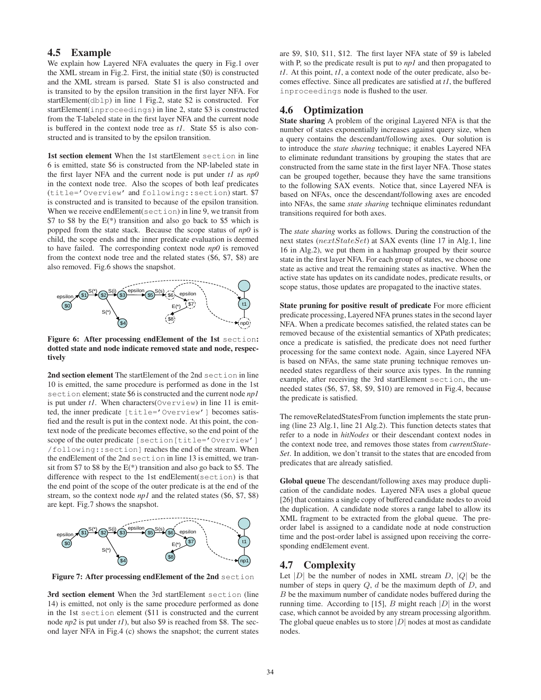# 4.5 Example

We explain how Layered NFA evaluates the query in Fig.1 over the XML stream in Fig.2. First, the initial state (\$0) is constructed and the XML stream is parsed. State \$1 is also constructed and is transited to by the epsilon transition in the first layer NFA. For startElement(dblp) in line 1 Fig.2, state \$2 is constructed. For startElement(inproceedings) in line 2, state \$3 is constructed from the T-labeled state in the first layer NFA and the current node is buffered in the context node tree as *t1*. State \$5 is also constructed and is transited to by the epsilon transition.

1st section element When the 1st startElement section in line 6 is emitted, state \$6 is constructed from the NP-labeled state in the first layer NFA and the current node is put under *t1* as *np0* in the context node tree. Also the scopes of both leaf predicates (title='Overview' and following::section) start. \$7 is constructed and is transited to because of the epsilon transition. When we receive endElement(section) in line 9, we transit from \$7 to \$8 by the  $E(*)$  transition and also go back to \$5 which is popped from the state stack. Because the scope status of *np0* is child, the scope ends and the inner predicate evaluation is deemed to have failed. The corresponding context node *np0* is removed from the context node tree and the related states (\$6, \$7, \$8) are also removed. Fig.6 shows the snapshot.



Figure 6: After processing endElement of the 1st section: dotted state and node indicate removed state and node, respectively

2nd section element The startElement of the 2nd section in line 10 is emitted, the same procedure is performed as done in the 1st section element; state \$6 is constructed and the current node *np1* is put under *t1*. When characters(Overview) in line 11 is emitted, the inner predicate [title='Overview'] becomes satisfied and the result is put in the context node. At this point, the context node of the predicate becomes effective, so the end point of the scope of the outer predicate [section [title='Overview'] /following::section] reaches the end of the stream. When the endElement of the 2nd section in line 13 is emitted, we transit from \$7 to \$8 by the  $E(*)$  transition and also go back to \$5. The difference with respect to the 1st endElement(section) is that the end point of the scope of the outer predicate is at the end of the stream, so the context node *np1* and the related states (\$6, \$7, \$8) are kept. Fig.7 shows the snapshot.



Figure 7: After processing endElement of the 2nd section

3rd section element When the 3rd startElement section (line 14) is emitted, not only is the same procedure performed as done in the 1st section element (\$11 is constructed and the current node *np2* is put under *t1*), but also \$9 is reached from \$8. The second layer NFA in Fig.4 (c) shows the snapshot; the current states

are \$9, \$10, \$11, \$12. The first layer NFA state of \$9 is labeled with P, so the predicate result is put to *np1* and then propagated to *t1*. At this point, *t1*, a context node of the outer predicate, also becomes effective. Since all predicates are satisfied at *t1*, the buffered inproceedings node is flushed to the user.

# 4.6 Optimization

State sharing A problem of the original Layered NFA is that the number of states exponentially increases against query size, when a query contains the descendant/following axes. Our solution is to introduce the *state sharing* technique; it enables Layered NFA to eliminate redundant transitions by grouping the states that are constructed from the same state in the first layer NFA. Those states can be grouped together, because they have the same transitions to the following SAX events. Notice that, since Layered NFA is based on NFAs, once the descendant/following axes are encoded into NFAs, the same *state sharing* technique eliminates redundant transitions required for both axes.

The *state sharing* works as follows. During the construction of the next states ( $nextStateSet$ ) at SAX events (line 17 in Alg.1, line 16 in Alg.2), we put them in a hashmap grouped by their source state in the first layer NFA. For each group of states, we choose one state as active and treat the remaining states as inactive. When the active state has updates on its candidate nodes, predicate results, or scope status, those updates are propagated to the inactive states.

State pruning for positive result of predicate For more efficient predicate processing, Layered NFA prunes states in the second layer NFA. When a predicate becomes satisfied, the related states can be removed because of the existential semantics of XPath predicates; once a predicate is satisfied, the predicate does not need further processing for the same context node. Again, since Layered NFA is based on NFAs, the same state pruning technique removes unneeded states regardless of their source axis types. In the running example, after receiving the 3rd startElement section, the unneeded states (\$6, \$7, \$8, \$9, \$10) are removed in Fig.4, because the predicate is satisfied.

The removeRelatedStatesFrom function implements the state pruning (line 23 Alg.1, line 21 Alg.2). This function detects states that refer to a node in *hitNodes* or their descendant context nodes in the context node tree, and removes those states from *currentState-Set*. In addition, we don't transit to the states that are encoded from predicates that are already satisfied.

Global queue The descendant/following axes may produce duplication of the candidate nodes. Layered NFA uses a global queue [26] that contains a single copy of buffered candidate nodes to avoid the duplication. A candidate node stores a range label to allow its XML fragment to be extracted from the global queue. The preorder label is assigned to a candidate node at node construction time and the post-order label is assigned upon receiving the corresponding endElement event.

# 4.7 Complexity

Let  $|D|$  be the number of nodes in XML stream D,  $|Q|$  be the number of steps in query  $Q$ ,  $d$  be the maximum depth of  $D$ , and B be the maximum number of candidate nodes buffered during the running time. According to [15], B might reach  $|D|$  in the worst case, which cannot be avoided by any stream processing algorithm. The global queue enables us to store  $|D|$  nodes at most as candidate nodes.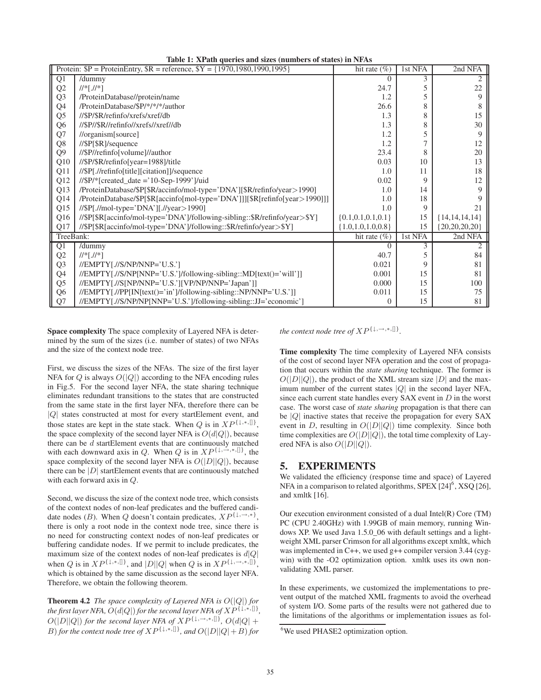|                 | Table 1. At any queries and sizes (humbers of states) in INFAS<br>Protein: $$P = ProteinEntry, $R = reference, $Y = {1970,1980,1990,1995}$ | hit rate $(\% )$         | 1st NFA | 2nd NFA            |
|-----------------|--------------------------------------------------------------------------------------------------------------------------------------------|--------------------------|---------|--------------------|
| $\overline{Q1}$ | /dummy                                                                                                                                     | 0                        | 3       |                    |
| Q2              | $/$ /*[ $.$ //*]                                                                                                                           | 24.7                     | 5       | 22                 |
| Q <sub>3</sub>  | /ProteinDatabase//protein/name                                                                                                             | 1.2                      | 5       | 9                  |
| Q4              | /ProteinDatabase/\$P/*/*/*/author                                                                                                          | 26.6                     | 8       |                    |
| Q <sub>5</sub>  | //\$P/\$R/refinfo/xrefs/xref/db                                                                                                            | 1.3                      | 8       | 15                 |
| Q <sub>6</sub>  | //\$P//\$R//refinfo//xrefs//xref//db                                                                                                       | 1.3                      | 8       | 30                 |
| Q7              | $//$ organism[source]                                                                                                                      | 1.2                      | 5       | 9                  |
| Q8              | //\$P[\$R]/sequence                                                                                                                        | 1.2                      | 7       | 12                 |
| Q <sub>9</sub>  | //\$P//refinfo[volume]//author                                                                                                             | 23.4                     | 8       | 20                 |
| Q10             | //\$P/\$R/refinfo[year=1988]/title                                                                                                         | 0.03                     | 10      | 13                 |
| Q11             | //\$P[.//refinfo[title][citation]]/sequence                                                                                                | 1.0                      | 11      | 18                 |
| Q12             | $//P/*[created_data = '10-Sep-1999']/uid$                                                                                                  | 0.02                     | 9       | 12                 |
| Q <sub>13</sub> | /ProteinDatabase/\$P[\$R/accinfo/mol-type='DNA'][\$R/refinfo/year>1990]                                                                    | 1.0                      | 14      | 9                  |
| Q14             | /ProteinDatabase/\$P[\$R[accinfo[mol-type='DNA']]][\$R[refinfo[year>1990]]]                                                                | 1.0                      | 18      |                    |
| Q15             | $//\$P[.//mol-type='DNA'][.//year>1990]$                                                                                                   | 1.0                      | 9       | 21                 |
| Q16             | //\$P[\$R[accinfo/mol-type='DNA']/following-sibling::\$R/refinfo/year>\$Y]                                                                 | $\{0.1, 0.1, 0.1, 0.1\}$ | 15      | ${14, 14, 14, 14}$ |
| Q17             | //\$P[\$R[accinfo/mol-type='DNA']/following::\$R/refinfo/year>\$Y]                                                                         | ${1.0, 1.0, 1.0, 0.8}$   | 15      | ${20,20,20,20}$    |
| TreeBank:       |                                                                                                                                            | hit rate $(\%)$          | 1st NFA | 2nd NFA            |
| $\overline{Q1}$ | /dummy                                                                                                                                     | $\theta$                 | 3       |                    |
| Q2              | $  ^{*}  .  ^{*}  $                                                                                                                        | 40.7                     | 5       | 84                 |
| Q <sub>3</sub>  | $//EMPTYJ.//SNP/NNP='U.S.'$                                                                                                                | 0.021                    | 9       | 81                 |
| Q <sub>4</sub>  | //EMPTY[.//S/NP[NNP='U.S.']/following-sibling::MD[text()='will']]                                                                          | 0.001                    | 15      | 81                 |
| Q <sub>5</sub>  | //EMPTY[.//S[NP/NNP='U.S.'][VP/NP/NNP='Japan']]                                                                                            | 0.000                    | 15      | 100                |
| Q <sub>6</sub>  | //EMPTY[.//PP[IN[text()='in']/following-sibling::NP/NNP='U.S.']]                                                                           | 0.011                    | 15      | 75                 |
| Q7              | //EMPTY[.//S/NP/NP[NNP='U.S.']/following-sibling::JJ='economic']                                                                           | 0                        | 15      | 81                 |

Table 1: YPath queries and sizes (numbers of states) in NFAs

Space complexity The space complexity of Layered NFA is determined by the sum of the sizes (i.e. number of states) of two NFAs and the size of the context node tree.

First, we discuss the sizes of the NFAs. The size of the first layer NFA for  $Q$  is always  $O(|Q|)$  according to the NFA encoding rules in Fig.5. For the second layer NFA, the state sharing technique eliminates redundant transitions to the states that are constructed from the same state in the first layer NFA, therefore there can be |Q| states constructed at most for every startElement event, and those states are kept in the state stack. When Q is in  $XP^{\{\downarrow, *, \[\}}$ , the space complexity of the second layer NFA is  $O(d|Q|)$ , because there can be d startElement events that are continuously matched with each downward axis in Q. When Q is in  $XP^{\{ \downarrow, \rightarrow, *,\{ \} \}}$ , the space complexity of the second layer NFA is  $O(|D||Q|)$ , because there can be  $|D|$  startElement events that are continuously matched with each forward axis in Q.

Second, we discuss the size of the context node tree, which consists of the context nodes of non-leaf predicates and the buffered candidate nodes (*B*). When *Q* doesn't contain predicates,  $XP^{\{1,\rightarrow,\ast\}}$ , there is only a root node in the context node tree, since there is no need for constructing context nodes of non-leaf predicates or buffering candidate nodes. If we permit to include predicates, the maximum size of the context nodes of non-leaf predicates is  $d|Q|$ when Q is in  $XP^{\{\downarrow,*,[\]}\}$ , and  $|D||Q|$  when Q is in  $XP^{\{\downarrow, \rightarrow,*,[\]}\}$ , which is obtained by the same discussion as the second layer NFA. Therefore, we obtain the following theorem.

Theorem 4.2 *The space complexity of Layered NFA is* O(|Q|) *for the first layer NFA,*  $O(d|Q|)$  *for the second layer NFA of*  $XP^{\{1,*,\{\}}},$  $O(|D||Q|)$  *for the second layer NFA of*  $XP^{\{1, \rightarrow, *, \{]\}}}, O(d|Q| +$  $B)$  *for the context node tree of*  $XP^{\{\downarrow,\ast,\parallel\}}$ *, and*  $O(|D||Q|+B)$  *for* 

*the context node tree of*  $XP^{\{\downarrow, \rightarrow, *, \{\}}}.$ 

Time complexity The time complexity of Layered NFA consists of the cost of second layer NFA operation and the cost of propagation that occurs within the *state sharing* technique. The former is  $O(|D||Q|)$ , the product of the XML stream size  $|D|$  and the maximum number of the current states  $|Q|$  in the second layer NFA, since each current state handles every SAX event in D in the worst case. The worst case of *state sharing* propagation is that there can be  $|Q|$  inactive states that receive the propagation for every SAX event in D, resulting in  $O(|D||Q|)$  time complexity. Since both time complexities are  $O(|D||Q|)$ , the total time complexity of Layered NFA is also  $O(|D||Q|)$ .

# 5. EXPERIMENTS

We validated the efficiency (response time and space) of Layered NFA in a comparison to related algorithms,  $SPEX$  [24] $^6$ ,  $XSQ$  [26], and xmltk [16].

Our execution environment consisted of a dual Intel(R) Core (TM) PC (CPU 2.40GHz) with 1.99GB of main memory, running Windows XP. We used Java 1.5.0\_06 with default settings and a lightweight XML parser Crimson for all algorithms except xmltk, which was implemented in C++, we used g++ compiler version 3.44 (cygwin) with the -O2 optimization option. xmltk uses its own nonvalidating XML parser.

In these experiments, we customized the implementations to prevent output of the matched XML fragments to avoid the overhead of system I/O. Some parts of the results were not gathered due to the limitations of the algorithms or implementation issues as fol-

<sup>&</sup>lt;sup>6</sup>We used PHASE2 optimization option.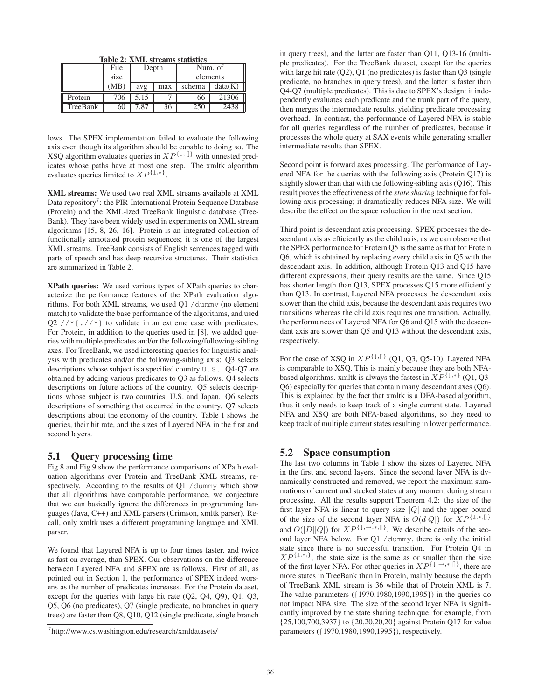|  |  | Table 2: XML streams statistics |
|--|--|---------------------------------|
|  |  |                                 |

|          | File | Depth |     | Num. of  |         |
|----------|------|-------|-----|----------|---------|
|          | size |       |     | elements |         |
|          | MB.  | avg   | max | schema   | data(K) |
| Protein  | 706  | 5.15  |     | 66       | 21306   |
| TreeBank | 60   | 7.87  | 36  | 250      | 2438    |

lows. The SPEX implementation failed to evaluate the following axis even though its algorithm should be capable to doing so. The XSQ algorithm evaluates queries in  $XP^{\{1, 1\}}$  with unnested predicates whose paths have at most one step. The xmltk algorithm evaluates queries limited to  $XP^{\{1, *\}}$ .

XML streams: We used two real XML streams available at XML Data repository<sup>7</sup>: the PIR-International Protein Sequence Database (Protein) and the XML-ized TreeBank linguistic database (Tree-Bank). They have been widely used in experiments on XML stream algorithms [15, 8, 26, 16]. Protein is an integrated collection of functionally annotated protein sequences; it is one of the largest XML streams. TreeBank consists of English sentences tagged with parts of speech and has deep recursive structures. Their statistics are summarized in Table 2.

XPath queries: We used various types of XPath queries to characterize the performance features of the XPath evaluation algorithms. For both XML streams, we used Q1 /dummy (no element match) to validate the base performance of the algorithms, and used Q2  $//*$ [. $//*$ ] to validate in an extreme case with predicates. For Protein, in addition to the queries used in [8], we added queries with multiple predicates and/or the following/following-sibling axes. For TreeBank, we used interesting queries for linguistic analysis with predicates and/or the following-sibling axis: Q3 selects descriptions whose subject is a specified country U.S.. Q4-Q7 are obtained by adding various predicates to Q3 as follows. Q4 selects descriptions on future actions of the country. Q5 selects descriptions whose subject is two countries, U.S. and Japan. Q6 selects descriptions of something that occurred in the country. Q7 selects descriptions about the economy of the country. Table 1 shows the queries, their hit rate, and the sizes of Layered NFA in the first and second layers.

# 5.1 Query processing time

Fig.8 and Fig.9 show the performance comparisons of XPath evaluation algorithms over Protein and TreeBank XML streams, respectively. According to the results of O1 /dummy which show that all algorithms have comparable performance, we conjecture that we can basically ignore the differences in programming languages (Java, C++) and XML parsers (Crimson, xmltk parser). Recall, only xmltk uses a different programming language and XML parser.

We found that Layered NFA is up to four times faster, and twice as fast on average, than SPEX. Our observations on the difference between Layered NFA and SPEX are as follows. First of all, as pointed out in Section 1, the performance of SPEX indeed worsens as the number of predicates increases. For the Protein dataset, except for the queries with large hit rate (Q2, Q4, Q9), Q1, Q3, Q5, Q6 (no predicates), Q7 (single predicate, no branches in query trees) are faster than Q8, Q10, Q12 (single predicate, single branch in query trees), and the latter are faster than Q11, Q13-16 (multiple predicates). For the TreeBank dataset, except for the queries with large hit rate (Q2), Q1 (no predicates) is faster than Q3 (single predicate, no branches in query trees), and the latter is faster than Q4-Q7 (multiple predicates). This is due to SPEX's design: it independently evaluates each predicate and the trunk part of the query, then merges the intermediate results, yielding predicate processing overhead. In contrast, the performance of Layered NFA is stable for all queries regardless of the number of predicates, because it processes the whole query at SAX events while generating smaller intermediate results than SPEX.

Second point is forward axes processing. The performance of Layered NFA for the queries with the following axis (Protein Q17) is slightly slower than that with the following-sibling axis (Q16). This result proves the effectiveness of the *state sharing* technique for following axis processing; it dramatically reduces NFA size. We will describe the effect on the space reduction in the next section.

Third point is descendant axis processing. SPEX processes the descendant axis as efficiently as the child axis, as we can observe that the SPEX performance for Protein Q5 is the same as that for Protein Q6, which is obtained by replacing every child axis in Q5 with the descendant axis. In addition, although Protein Q13 and Q15 have different expressions, their query results are the same. Since Q15 has shorter length than Q13, SPEX processes Q15 more efficiently than Q13. In contrast, Layered NFA processes the descendant axis slower than the child axis, because the descendant axis requires two transitions whereas the child axis requires one transition. Actually, the performances of Layered NFA for Q6 and Q15 with the descendant axis are slower than Q5 and Q13 without the descendant axis, respectively.

For the case of XSO in  $XP^{\{\downarrow,\{\!\!\!\{I\}\!\!\!\}}}\$  (O1, O3, O5-10), Layered NFA is comparable to XSQ. This is mainly because they are both NFAbased algorithms. xmltk is always the fastest in  $XP^{\{1,*\}}$  (Q1, Q3-Q6) especially for queries that contain many descendant axes (Q6). This is explained by the fact that xmltk is a DFA-based algorithm, thus it only needs to keep track of a single current state. Layered NFA and XSQ are both NFA-based algorithms, so they need to keep track of multiple current states resulting in lower performance.

# 5.2 Space consumption

The last two columns in Table 1 show the sizes of Layered NFA in the first and second layers. Since the second layer NFA is dynamically constructed and removed, we report the maximum summations of current and stacked states at any moment during stream processing. All the results support Theorem 4.2: the size of the first layer NFA is linear to query size  $|Q|$  and the upper bound of the size of the second layer NFA is  $O(d|Q|)$  for  $XP^{\{\downarrow,\ast,\parallel\}}$ and  $O(|D||Q|)$  for  $XP^{\{1, \rightarrow, *, \{]\}}$ . We describe details of the second layer NFA below. For Q1 /dummy, there is only the initial state since there is no successful transition. For Protein Q4 in  $XP^{\{\downarrow,\ast,\}}$ , the state size is the same as or smaller than the size of the first layer NFA. For other queries in  $XP^{\{\downarrow, \rightarrow, *, \parallel\}}$ , there are more states in TreeBank than in Protein, mainly because the depth of TreeBank XML stream is 36 while that of Protein XML is 7. The value parameters ({1970,1980,1990,1995}) in the queries do not impact NFA size. The size of the second layer NFA is significantly improved by the state sharing technique, for example, from {25,100,700,3937} to {20,20,20,20} against Protein Q17 for value parameters ({1970,1980,1990,1995}), respectively.

<sup>7</sup> http://www.cs.washington.edu/research/xmldatasets/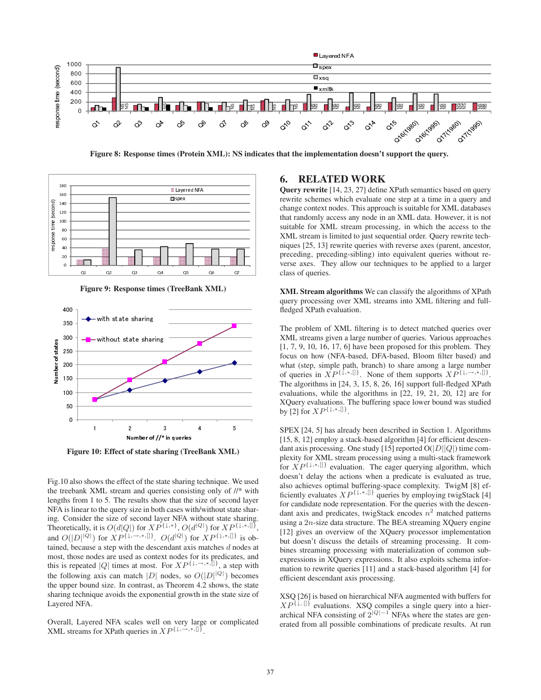

Figure 8: Response times (Protein XML): NS indicates that the implementation doesn't support the query.



Figure 9: Response times (TreeBank XML)



Figure 10: Effect of state sharing (TreeBank XML)

Fig.10 also shows the effect of the state sharing technique. We used the treebank XML stream and queries consisting only of //\* with lengths from 1 to 5. The results show that the size of second layer NFA is linear to the query size in both cases with/without state sharing. Consider the size of second layer NFA without state sharing. Theoretically, it is  $O(d|Q|)$  for  $XP^{\{\downarrow,\ast\}}, O(d^{|Q|})$  for  $XP^{\{\downarrow,\ast,\parallel\}}$ , and  $O(|D|^{|Q|})$  for  $XP^{\{\downarrow,\rightarrow,\ast,\{\parallel\}}}.$   $O(d^{|Q|})$  for  $XP^{\{\downarrow,\ast,\{\parallel\}}}$  is obtained, because a step with the descendant axis matches d nodes at most, those nodes are used as context nodes for its predicates, and this is repeated |Q| times at most. For  $XP^{\{\downarrow, \rightarrow, *},[]\}$ , a step with the following axis can match |D| nodes, so  $O(|D|^{|Q|})$  becomes the upper bound size. In contrast, as Theorem 4.2 shows, the state sharing technique avoids the exponential growth in the state size of Layered NFA.

Overall, Layered NFA scales well on very large or complicated XML streams for XPath queries in  $XP^{\{ \downarrow, \rightarrow, *, \parallel \}}$ .

# 6. RELATED WORK

Query rewrite [14, 23, 27] define XPath semantics based on query rewrite schemes which evaluate one step at a time in a query and change context nodes. This approach is suitable for XML databases that randomly access any node in an XML data. However, it is not suitable for XML stream processing, in which the access to the XML stream is limited to just sequential order. Query rewrite techniques [25, 13] rewrite queries with reverse axes (parent, ancestor, preceding, preceding-sibling) into equivalent queries without reverse axes. They allow our techniques to be applied to a larger class of queries.

XML Stream algorithms We can classify the algorithms of XPath query processing over XML streams into XML filtering and fullfledged XPath evaluation.

The problem of XML filtering is to detect matched queries over XML streams given a large number of queries. Various approaches [1, 7, 9, 10, 16, 17, 6] have been proposed for this problem. They focus on how (NFA-based, DFA-based, Bloom filter based) and what (step, simple path, branch) to share among a large number of queries in  $\overline{XP^{\{\downarrow,\ast,\parallel\}}}$ . None of them supports  $\overline{XP^{\{\downarrow,\rightarrow,\ast,\parallel\}}}$ . The algorithms in [24, 3, 15, 8, 26, 16] support full-fledged XPath evaluations, while the algorithms in [22, 19, 21, 20, 12] are for XQuery evaluations. The buffering space lower bound was studied by [2] for  $XP^{\{\downarrow,*,\{\!\!\!\mid\ \!\!\!\}}.$ 

SPEX [24, 5] has already been described in Section 1. Algorithms [15, 8, 12] employ a stack-based algorithm [4] for efficient descendant axis processing. One study [15] reported  $O(|D||Q|)$  time complexity for XML stream processing using a multi-stack framework for XP{↓*,*∗*,*[]} evaluation. The eager querying algorithm, which doesn't delay the actions when a predicate is evaluated as true, also achieves optimal buffering-space complexity. TwigM [8] efficiently evaluates  $XP^{\{\downarrow, *, \parallel\}}$  queries by employing twigStack [4] for candidate node representation. For the queries with the descendant axis and predicates, twigStack encodes  $n^2$  matched patterns using a  $2n$ -size data structure. The BEA streaming XQuery engine [12] gives an overview of the XQuery processor implementation but doesn't discuss the details of streaming processing. It combines streaming processing with materialization of common subexpressions in XQuery expressions. It also exploits schema information to rewrite queries [11] and a stack-based algorithm [4] for efficient descendant axis processing.

XSQ [26] is based on hierarchical NFA augmented with buffers for  $XP^{\{1,\{\}\}}$  evaluations. XSQ compiles a single query into a hierarchical NFA consisting of  $2^{|Q|-1}$  NFAs where the states are generated from all possible combinations of predicate results. At run